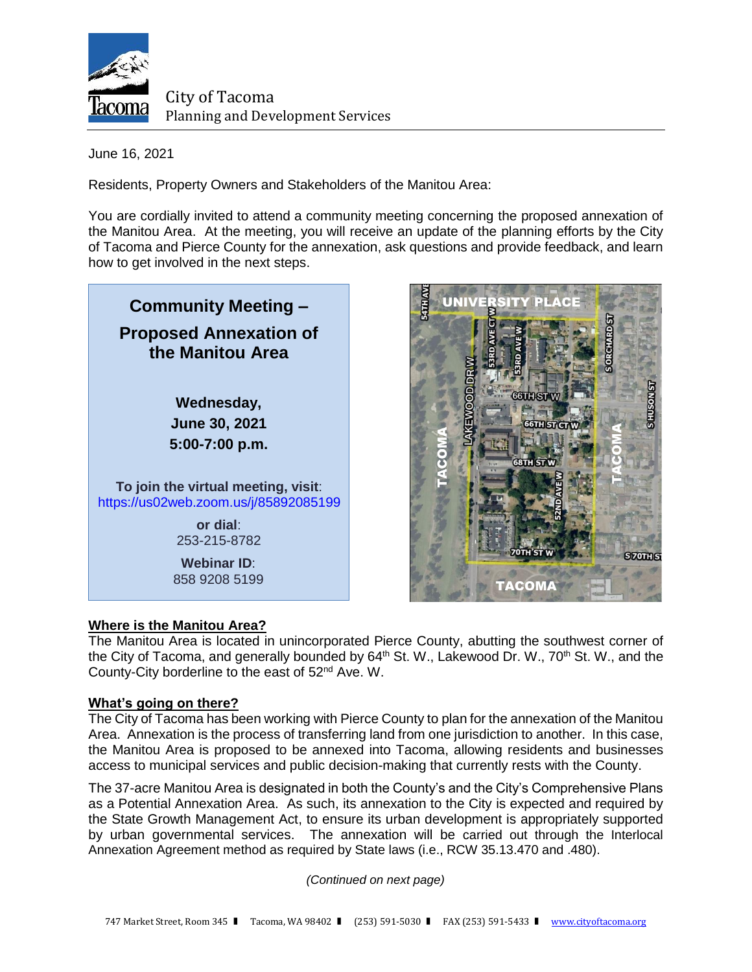

City of Tacoma Planning and Development Services

June 16, 2021

Residents, Property Owners and Stakeholders of the Manitou Area:

You are cordially invited to attend a community meeting concerning the proposed annexation of the Manitou Area. At the meeting, you will receive an update of the planning efforts by the City of Tacoma and Pierce County for the annexation, ask questions and provide feedback, and learn how to get involved in the next steps.





# **Where is the Manitou Area?**

The Manitou Area is located in unincorporated Pierce County, abutting the southwest corner of the City of Tacoma, and generally bounded by  $64<sup>th</sup>$  St. W., Lakewood Dr. W., 70<sup>th</sup> St. W., and the County-City borderline to the east of 52nd Ave. W.

# **What's going on there?**

The City of Tacoma has been working with Pierce County to plan for the annexation of the Manitou Area. Annexation is the process of transferring land from one jurisdiction to another. In this case, the Manitou Area is proposed to be annexed into Tacoma, allowing residents and businesses access to municipal services and public decision-making that currently rests with the County.

The 37-acre Manitou Area is designated in both the County's and the City's Comprehensive Plans as a Potential Annexation Area. As such, its annexation to the City is expected and required by the State Growth Management Act, to ensure its urban development is appropriately supported by urban governmental services. The annexation will be carried out through the Interlocal Annexation Agreement method as required by State laws (i.e., RCW 35.13.470 and .480).

*(Continued on next page)*